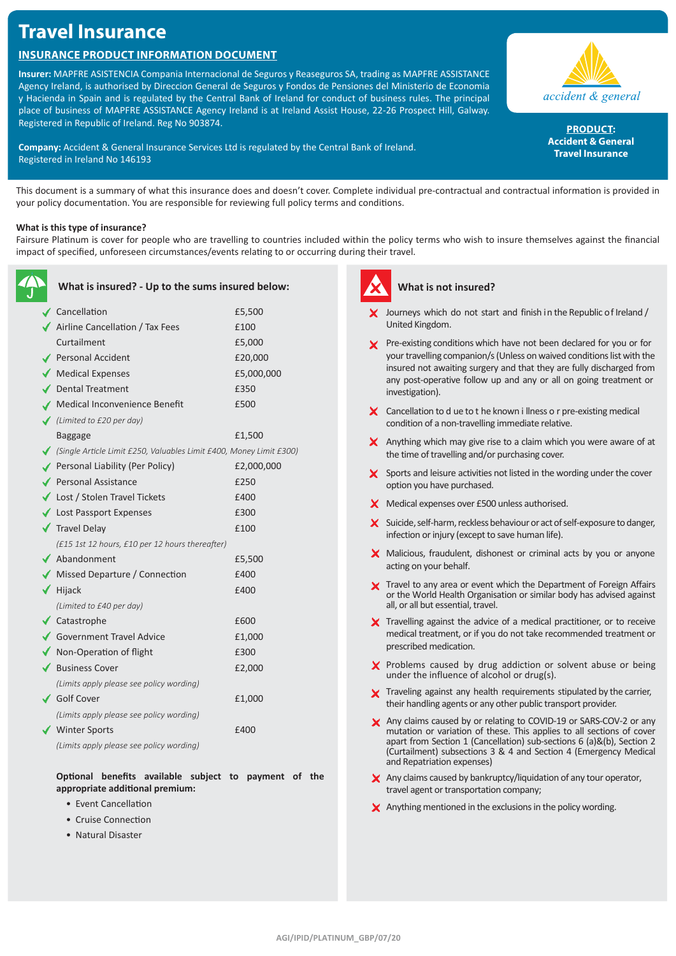# **Travel Insurance**

# **Insurance Product Information Document**

**Insurer:** MAPFRE ASISTENCIA Compania Internacional de Seguros y Reaseguros SA, trading as MAPFRE ASSISTANCE Agency Ireland, is authorised by Direccion General de Seguros y Fondos de Pensiones del Ministerio de Economia y Hacienda in Spain and is regulated by the Central Bank of Ireland for conduct of business rules. The principal place of business of MAPFRE ASSISTANCE Agency Ireland is at Ireland Assist House, 22-26 Prospect Hill, Galway. Registered in Republic of Ireland. Reg No 903874.

**Company:** Accident & General Insurance Services Ltd is regulated by the Central Bank of Ireland. Registered in Ireland No 146193

your policy documentation. You are responsible for reviewing full policy terms and conditions.

accident & general

PRODUCT: **Accident & General Travel Insurance**

This document is a summary of what this insurance does and doesn't cover. Complete individual pre-contractual and contractual information is provided in

### **What is this type of insurance?**

Fairsure Platinum is cover for people who are travelling to countries included within the policy terms who wish to insure themselves against the financial impact of specified, unforeseen circumstances/events relating to or occurring during their travel.

| What is insured? - Up to the sums insured below:                    |            |
|---------------------------------------------------------------------|------------|
| Cancellation                                                        | £5,500     |
| Airline Cancellation / Tax Fees                                     | £100       |
| Curtailment                                                         | £5,000     |
| ✔ Personal Accident                                                 | £20,000    |
| Medical Expenses                                                    | £5,000,000 |
| ✔ Dental Treatment                                                  | £350       |
| ✔ Medical Inconvenience Benefit                                     | £500       |
| $\sqrt{$ (Limited to £20 per day)                                   |            |
| <b>Baggage</b>                                                      | £1,500     |
| (Single Article Limit £250, Valuables Limit £400, Money Limit £300) |            |
| ◆ Personal Liability (Per Policy)                                   | £2,000,000 |
| Personal Assistance                                                 | £250       |
| ◆ Lost / Stolen Travel Tickets                                      | £400       |
| Lost Passport Expenses                                              | £300       |
| $\sqrt{\phantom{a}}$ Travel Delay                                   | £100       |
| (£15 1st 12 hours, £10 per 12 hours thereafter)                     |            |
| $\blacktriangleright$ Abandonment                                   | £5,500     |
| Missed Departure / Connection                                       | £400       |
| $\blacktriangledown$ Hijack                                         | £400       |
| (Limited to £40 per day)                                            |            |
| $\sqrt{\phantom{a}}$ Catastrophe                                    | £600       |
| Government Travel Advice                                            | £1,000     |
| ◆ Non-Operation of flight                                           | £300       |
| ✔ Business Cover                                                    | £2,000     |
| (Limits apply please see policy wording)                            |            |
| $\checkmark$ Golf Cover                                             | £1,000     |
| (Limits apply please see policy wording)                            |            |
| Winter Sports                                                       | £400       |
| (Limits apply please see policy wording)                            |            |

**Optional benefits available subject to payment of the appropriate additional premium:**

- Event Cancellation
- Cruise Connection
- Natural Disaster



## **What is not insured?**

- $\angle$  Journeys which do not start and finish in the Republic of Ireland / United Kingdom.
- **Y** Pre-existing conditions which have not been declared for you or for your travelling companion/s (Unless on waived conditions list with the insured not awaiting surgery and that they are fully discharged from any post-operative follow up and any or all on going treatment or investigation).
- $\boldsymbol{\times}$  Cancellation to d ue to t he known i llness o r pre-existing medical condition of a non-travelling immediate relative.
- $\boldsymbol{\times}$  Anything which may give rise to a claim which you were aware of at the time of travelling and/or purchasing cover.
- $\boldsymbol{\times}$  Sports and leisure activities not listed in the wording under the cover option you have purchased.
- X Medical expenses over £500 unless authorised.
- $\boldsymbol{\times}$  Suicide, self-harm, reckless behaviour or act of self-exposure to danger, infection or injury (except to save human life).
- X Malicious, fraudulent, dishonest or criminal acts by you or anyone acting on your behalf.
- **X** Travel to any area or event which the Department of Foreign Affairs or the World Health Organisation or similar body has advised against all, or all but essential, travel.
- X Travelling against the advice of a medical practitioner, or to receive medical treatment, or if you do not take recommended treatment or prescribed medication.
- X Problems caused by drug addiction or solvent abuse or being under the influence of alcohol or drug(s).
- $\blacktriangleright$  Traveling against any health requirements stipulated by the carrier, their handling agents or any other public transport provider.
- X Any claims caused by or relating to COVID-19 or SARS-COV-2 or any mutation or variation of these. This applies to all sections of cover apart from Section 1 (Cancellation) sub-sections 6 (a)&(b), Section 2 (Curtailment) subsections 3 & 4 and Section 4 (Emergency Medical and Repatriation expenses)
- Any claims caused by bankruptcy/liquidation of any tour operator, travel agent or transportation company;
- $\boldsymbol{\times}$  Anything mentioned in the exclusions in the policy wording.